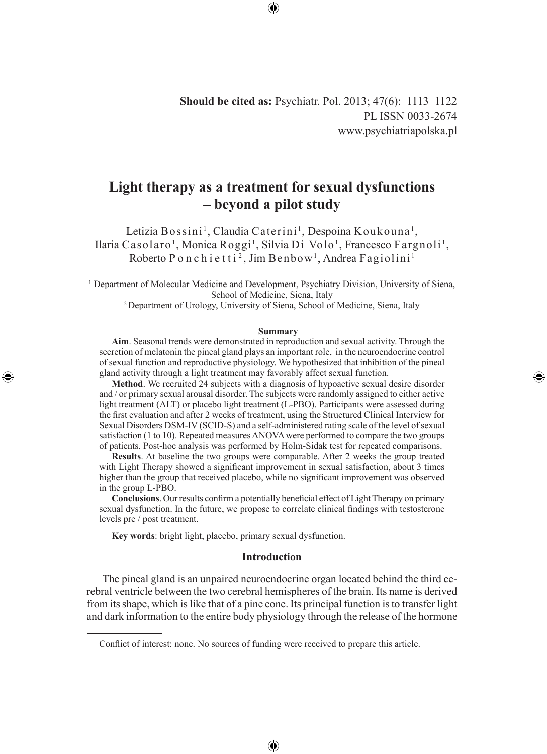**Should be cited as:** Psychiatr. Pol. 2013; 47(6): 1113–1122 PL ISSN 0033-2674 www.psychiatriapolska.pl

# **Light therapy as a treatment for sexual dysfunctions – beyond a pilot study**

Letizia Bossini<sup>1</sup>, Claudia Caterini<sup>1</sup>, Despoina Koukouna<sup>1</sup>, Ilaria Casolaro<sup>1</sup>, Monica Roggi<sup>1</sup>, Silvia Di Volo<sup>1</sup>, Francesco Fargnoli<sup>1</sup>, Roberto P o n c h i e t t i <sup>2</sup>, Jim B enbow<sup>1</sup>, Andrea Fagiolini<sup>1</sup>

1 Department of Molecular Medicine and Development, Psychiatry Division, University of Siena, School of Medicine, Siena, Italy

2 Department of Urology, University of Siena, School of Medicine, Siena, Italy

#### **Summary**

◈

**Aim**. Seasonal trends were demonstrated in reproduction and sexual activity. Through the secretion of melatonin the pineal gland plays an important role, in the neuroendocrine control of sexual function and reproductive physiology. We hypothesized that inhibition of the pineal gland activity through a light treatment may favorably affect sexual function.

**Method**. We recruited 24 subjects with a diagnosis of hypoactive sexual desire disorder and / or primary sexual arousal disorder. The subjects were randomly assigned to either active light treatment (ALT) or placebo light treatment (L-PBO). Participants were assessed during the first evaluation and after 2 weeks of treatment, using the Structured Clinical Interview for Sexual Disorders DSM-IV (SCID-S) and a self-administered rating scale of the level of sexual satisfaction (1 to 10). Repeated measures ANOVA were performed to compare the two groups of patients. Post-hoc analysis was performed by Holm-Sidak test for repeated comparisons.

**Results**. At baseline the two groups were comparable. After 2 weeks the group treated with Light Therapy showed a significant improvement in sexual satisfaction, about 3 times higher than the group that received placebo, while no significant improvement was observed in the group L-PBO.

**Conclusions**. Our results confirm a potentially beneficial effect of Light Therapy on primary sexual dysfunction. In the future, we propose to correlate clinical findings with testosterone levels pre / post treatment.

**Key words**: bright light, placebo, primary sexual dysfunction.

◈

## **Introduction**

The pineal gland is an unpaired neuroendocrine organ located behind the third cerebral ventricle between the two cerebral hemispheres of the brain. Its name is derived from its shape, which is like that of a pine cone. Its principal function is to transfer light and dark information to the entire body physiology through the release of the hormone

⊕

Conflict of interest: none. No sources of funding were received to prepare this article.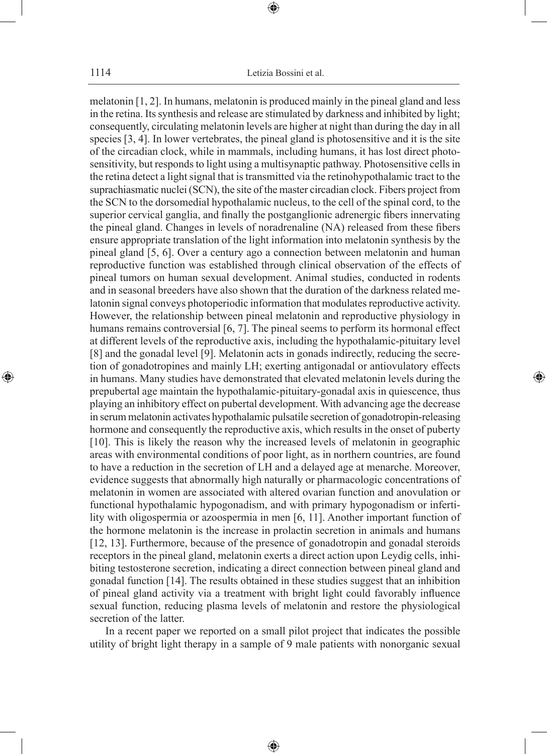⊕

melatonin [1, 2]. In humans, melatonin is produced mainly in the pineal gland and less in the retina. Its synthesis and release are stimulated by darkness and inhibited by light; consequently, circulating melatonin levels are higher at night than during the day in all species [3, 4]. In lower vertebrates, the pineal gland is photosensitive and it is the site of the circadian clock, while in mammals, including humans, it has lost direct photosensitivity, but responds to light using a multisynaptic pathway. Photosensitive cellsin the retina detect a light signal that is transmitted via the retinohypothalamic tract to the suprachiasmatic nuclei (SCN), the site of the master circadian clock. Fibers project from the SCN to the dorsomedial hypothalamic nucleus, to the cell of the spinal cord, to the superior cervical ganglia, and finally the postganglionic adrenergic fibers innervating the pineal gland. Changes in levels of noradrenaline (NA) released from these fibers ensure appropriate translation of the light information into melatonin synthesis by the pineal gland [5, 6]. Over a century ago a connection between melatonin and human reproductive function was established through clinical observation of the effects of pineal tumors on human sexual development. Animal studies, conducted in rodents and in seasonal breeders have also shown that the duration of the darkness related melatonin signal conveys photoperiodic information that modulates reproductive activity. However, the relationship between pineal melatonin and reproductive physiology in humans remains controversial [6, 7]. The pineal seems to perform its hormonal effect at different levels of the reproductive axis, including the hypothalamic-pituitary level [8] and the gonadal level [9]. Melatonin acts in gonads indirectly, reducing the secretion of gonadotropines and mainly LH; exerting antigonadal or antiovulatory effects in humans. Many studies have demonstrated that elevated melatonin levels during the prepubertal age maintain the hypothalamic-pituitary-gonadal axis in quiescence, thus playing an inhibitory effect on pubertal development. With advancing age the decrease in serum melatonin activates hypothalamic pulsatile secretion of gonadotropin-releasing hormone and consequently the reproductive axis, which results in the onset of puberty [10]. This is likely the reason why the increased levels of melatonin in geographic areas with environmental conditions of poor light, as in northern countries, are found to have a reduction in the secretion of LH and a delayed age at menarche. Moreover, evidence suggests that abnormally high naturally or pharmacologic concentrations of melatonin in women are associated with altered ovarian function and anovulation or functional hypothalamic hypogonadism, and with primary hypogonadism or infertility with oligospermia or azoospermia in men [6, 11]. Another important function of the hormone melatonin is the increase in prolactin secretion in animals and humans [12, 13]. Furthermore, because of the presence of gonadotropin and gonadal steroids receptors in the pineal gland, melatonin exerts a direct action upon Leydig cells, inhibiting testosterone secretion, indicating a direct connection between pineal gland and gonadal function [14]. The results obtained in these studies suggest that an inhibition of pineal gland activity via a treatment with bright light could favorably influence sexual function, reducing plasma levels of melatonin and restore the physiological secretion of the latter.

⊕

In a recent paper we reported on a small pilot project that indicates the possible utility of bright light therapy in a sample of 9 male patients with nonorganic sexual

⊕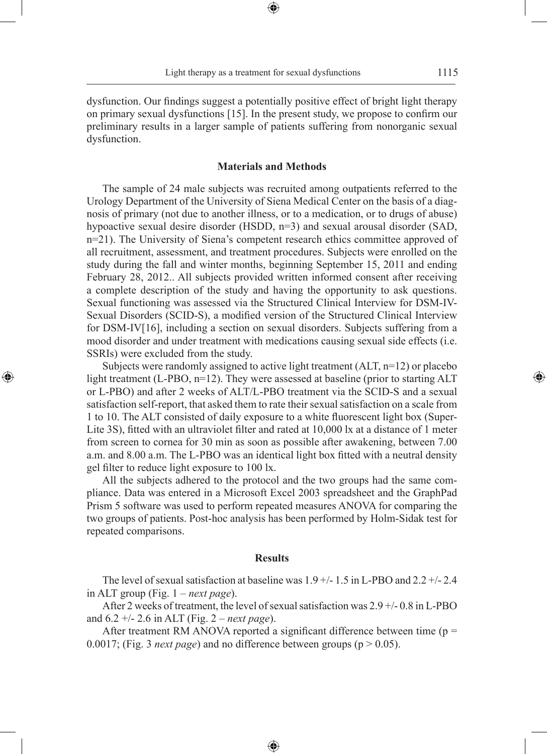⊕

◈

dysfunction. Our findings suggest a potentially positive effect of bright light therapy on primary sexual dysfunctions [15]. In the present study, we propose to confirm our preliminary results in a larger sample of patients suffering from nonorganic sexual dysfunction.

# **Materials and Methods**

The sample of 24 male subjects was recruited among outpatients referred to the Urology Department of the University of Siena Medical Center on the basis of a diagnosis of primary (not due to another illness, or to a medication, or to drugs of abuse) hypoactive sexual desire disorder (HSDD, n=3) and sexual arousal disorder (SAD, n=21). The University of Siena's competent research ethics committee approved of all recruitment, assessment, and treatment procedures. Subjects were enrolled on the study during the fall and winter months, beginning September 15, 2011 and ending February 28, 2012.. All subjects provided written informed consent after receiving a complete description of the study and having the opportunity to ask questions. Sexual functioning was assessed via the Structured Clinical Interview for DSM-IV-Sexual Disorders (SCID-S), a modified version of the Structured Clinical Interview for DSM-IV[16], including a section on sexual disorders. Subjects suffering from a mood disorder and under treatment with medications causing sexual side effects (i.e. SSRIs) were excluded from the study.

Subjects were randomly assigned to active light treatment (ALT, n=12) or placebo light treatment (L-PBO, n=12). They were assessed at baseline (prior to starting ALT or L-PBO) and after 2 weeks of ALT/L-PBO treatment via the SCID-S and a sexual satisfaction self-report, that asked them to rate their sexual satisfaction on a scale from 1 to 10. The ALT consisted of daily exposure to a white fluorescent light box (Super-Lite 3S), fitted with an ultraviolet filter and rated at 10,000 lx at a distance of 1 meter from screen to cornea for 30 min as soon as possible after awakening, between 7.00 a.m. and 8.00 a.m. The L-PBO was an identical light box fitted with a neutral density gel filter to reduce light exposure to 100 lx.

◈

All the subjects adhered to the protocol and the two groups had the same compliance. Data was entered in a Microsoft Excel 2003 spreadsheet and the GraphPad Prism 5 software was used to perform repeated measures ANOVA for comparing the two groups of patients. Post-hoc analysis has been performed by Holm-Sidak test for repeated comparisons.

## **Results**

The level of sexual satisfaction at baseline was  $1.9 +/- 1.5$  in L-PBO and  $2.2 +/- 2.4$ in ALT group (Fig. 1 – *next page*).

After 2 weeks of treatment, the level of sexual satisfaction was 2.9 +/- 0.8 in L-PBO and 6.2 +/- 2.6 in ALT (Fig. 2 – *next page*).

After treatment RM ANOVA reported a significant difference between time ( $p =$ 0.0017; (Fig. 3 *next page*) and no difference between groups ( $p > 0.05$ ).

⊕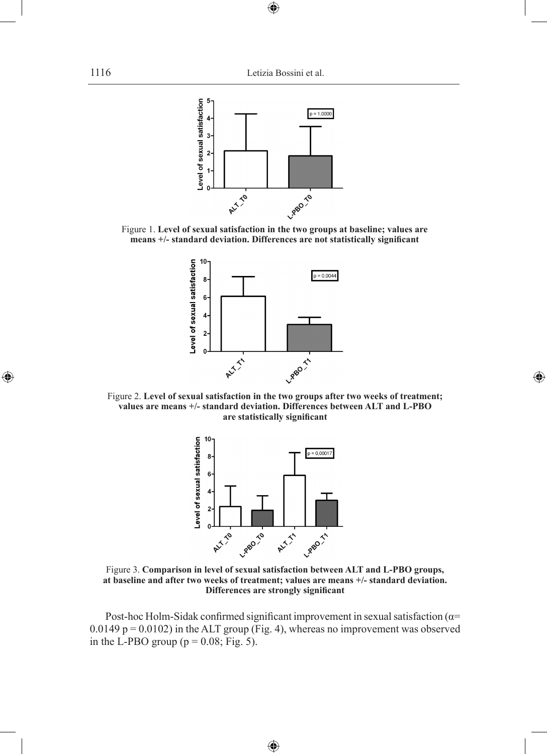$\bigoplus$ 



Figure 1. **Level of sexual satisfaction in the two groups at baseline; values are means +/- standard deviation. Differences are not statistically significant**



Figure 2. **Level of sexual satisfaction in the two groups after two weeks of treatment; values are means +/- standard deviation. Differences between ALT and L-PBO are statistically significant**

◈



Figure 3. **Comparison in level of sexual satisfaction between ALT and L-PBO groups, at baseline and after two weeks of treatment; values are means +/- standard deviation. Differences are strongly significant**

Post-hoc Holm-Sidak confirmed significant improvement in sexual satisfaction ( $\alpha$ =  $0.0149$  p =  $0.0102$ ) in the ALT group (Fig. 4), whereas no improvement was observed in the L-PBO group ( $p = 0.08$ ; Fig. 5).

 $\bigoplus$ 

 $\bigoplus$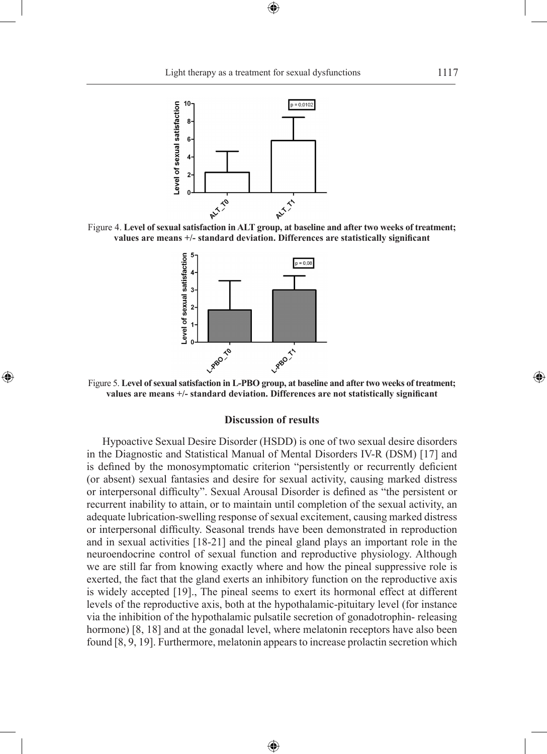⊕







◈

Figure 5. **Level of sexual satisfaction in L-PBO group, at baseline and after two weeks of treatment; values are means +/- standard deviation. Differences are not statistically significant**

### **Discussion of results**

Hypoactive Sexual Desire Disorder (HSDD) is one of two sexual desire disorders in the Diagnostic and Statistical Manual of Mental Disorders IV-R (DSM) [17] and is defined by the monosymptomatic criterion "persistently or recurrently deficient (or absent) sexual fantasies and desire for sexual activity, causing marked distress or interpersonal difficulty". Sexual Arousal Disorder is defined as "the persistent or recurrent inability to attain, or to maintain until completion of the sexual activity, an adequate lubrication-swelling response of sexual excitement, causing marked distress or interpersonal difficulty. Seasonal trends have been demonstrated in reproduction and in sexual activities [18-21] and the pineal gland plays an important role in the neuroendocrine control of sexual function and reproductive physiology. Although we are still far from knowing exactly where and how the pineal suppressive role is exerted, the fact that the gland exerts an inhibitory function on the reproductive axis is widely accepted [19]., The pineal seems to exert its hormonal effect at different levels of the reproductive axis, both at the hypothalamic-pituitary level (for instance via the inhibition of the hypothalamic pulsatile secretion of gonadotrophin- releasing hormone) [8, 18] and at the gonadal level, where melatonin receptors have also been found [8, 9, 19]. Furthermore, melatonin appears to increase prolactin secretion which

⊕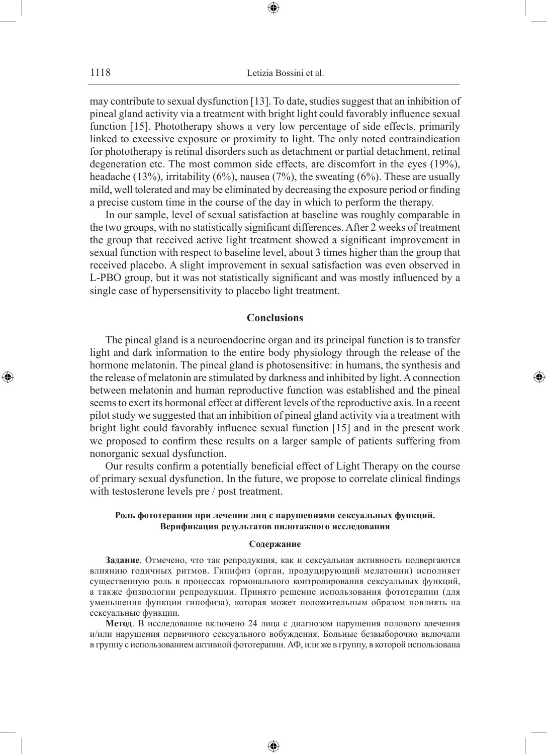may contribute to sexual dysfunction [13]. To date, studies suggest that an inhibition of pineal gland activity via a treatment with bright light could favorably influence sexual function [15]. Phototherapy shows a very low percentage of side effects, primarily linked to excessive exposure or proximity to light. The only noted contraindication for phototherapy is retinal disorders such as detachment or partial detachment, retinal degeneration etc. The most common side effects, are discomfort in the eyes (19%), headache (13%), irritability (6%), nausea (7%), the sweating (6%). These are usually mild, well tolerated and may be eliminated by decreasing the exposure period or finding a precise custom time in the course of the day in which to perform the therapy.

In our sample, level of sexual satisfaction at baseline was roughly comparable in the two groups, with no statistically significant differences. After 2 weeks of treatment the group that received active light treatment showed a significant improvement in sexual function with respect to baseline level, about 3 times higher than the group that received placebo. A slight improvement in sexual satisfaction was even observed in L-PBO group, but it was not statistically significant and was mostly influenced by a single case of hypersensitivity to placebo light treatment.

# **Conclusions**

The pineal gland is a neuroendocrine organ and its principal function is to transfer light and dark information to the entire body physiology through the release of the hormone melatonin. The pineal gland is photosensitive: in humans, the synthesis and the release of melatonin are stimulated by darkness and inhibited by light. A connection between melatonin and human reproductive function was established and the pineal seems to exert its hormonal effect at different levels of the reproductive axis. In a recent pilot study we suggested that an inhibition of pineal gland activity via a treatment with bright light could favorably influence sexual function [15] and in the present work we proposed to confirm these results on a larger sample of patients suffering from nonorganic sexual dysfunction.

◈

Our results confirm a potentially beneficial effect of Light Therapy on the course of primary sexual dysfunction. In the future, we propose to correlate clinical findings with testosterone levels pre / post treatment.

# **Роль фототерапии при лечении лиц с нарушениями сексуальных функций. Верификация результатов пилотажного исследования**

#### **Содержание**

**Задание**. Отмечено, что так репродукция, как и сексуальная активность подвергаются влиянию годичных ритмов. Гипифиз (орган, продуцирующий мелатонин) исполняет существенную роль в процессах гормонального контролирования сексуальных функций, а также физиологии репродукции. Принято решение использования фототерапии (для уменьшения функции гипофиза), которая может положительным образом повлиять на сексуальные функции.

**Метод**. В исследование включено 24 лица с диагнозом нарушения полового влечения и/или нарушения первичного сексуального вобуждения. Больные безвыборочно включали в группу с использованием активной фототерапии. АФ, или же в группу, в которой использована

♠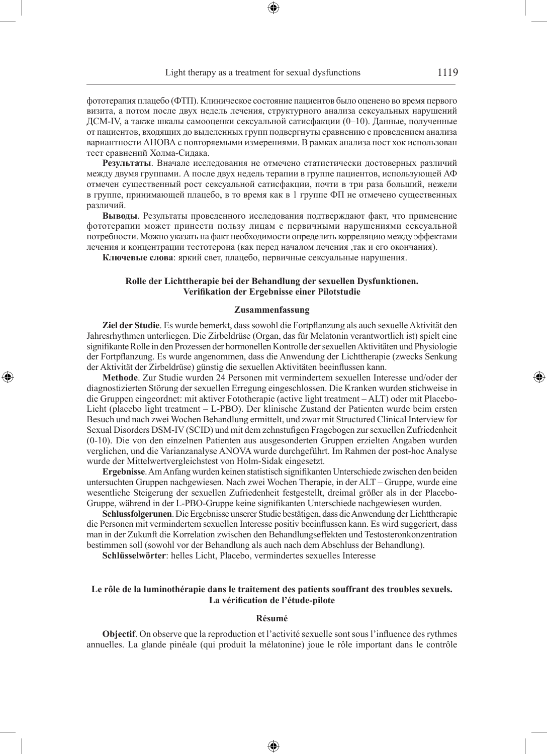фототерапия плацебо (ФТП). Клиническое состояние пациентов было оценено во время первого визита, а потом после двух недель лечения, структурного анализа сексуальных нарушений ДСМ-IV, а также шкалы самооценки сексуальной сатисфакции (0–10). Данные, полученные от пациентов, входящих до выделенных групп подвергнуты сравнению с проведением анализа вариантности АНОВА с повторяемыми измерениями. В рамках анализа пост хок использован тест сравнений Холма-Сидака.

**Результаты**. Вначале исследования не отмечено статистически достоверных различий между двумя группами. А после двух недель терапии в группе пациентов, использующей АФ отмечен существенный рост сексуальной сатисфакции, почти в три раза больший, нежели в группе, принимающей плацебо, в то время как в 1 группе ФП не отмечено существенных различий.

**Выводы**. Результаты проведенного исследования подтверждают факт, что применение фототерапии может принести пользу лицам с первичными нарушениями сексуальной потребности. Можно указать на факт необходимости определить корреляцию между эффектами лечения и концентрации тестотерона (как перед началом лечения ,так и его окончания).

**Ключевые слова**: яркий свет, плацебо, первичные сексуальные нарушения.

### **Rolle der Lichttherapie bei der Behandlung der sexuellen Dysfunktionen. Verifikation der Ergebnisse einer Pilotstudie**

### **Zusammenfassung**

**Ziel der Studie**. Es wurde bemerkt, dass sowohl die Fortpflanzung als auch sexuelle Aktivität den Jahresrhythmen unterliegen. Die Zirbeldrüse (Organ, das für Melatonin verantwortlich ist) spielt eine signifikante Rolle in den Prozessen der hormonellen Kontrolle der sexuellen Aktivitäten und Physiologie der Fortpflanzung. Es wurde angenommen, dass die Anwendung der Lichttherapie (zwecks Senkung der Aktivität der Zirbeldrüse) günstig die sexuellen Aktivitäten beeinflussen kann.

**Methode**. Zur Studie wurden 24 Personen mit vermindertem sexuellen Interesse und/oder der diagnostizierten Störung der sexuellen Erregung eingeschlossen. Die Kranken wurden stichweise in die Gruppen eingeordnet: mit aktiver Fototherapie (active light treatment – ALT) oder mit Placebo-Licht (placebo light treatment – L-PBO). Der klinische Zustand der Patienten wurde beim ersten Besuch und nach zwei Wochen Behandlung ermittelt, und zwar mit Structured Clinical Interview for Sexual Disorders DSM-IV (SCID) und mit dem zehnstufigen Fragebogen zur sexuellen Zufriedenheit (0-10). Die von den einzelnen Patienten aus ausgesonderten Gruppen erzielten Angaben wurden verglichen, und die Varianzanalyse ANOVA wurde durchgeführt. Im Rahmen der post-hoc Analyse wurde der Mittelwertvergleichstest von Holm-Sidak eingesetzt.

**Ergebnisse**. Am Anfang wurden keinen statistisch signifikanten Unterschiede zwischen den beiden untersuchten Gruppen nachgewiesen. Nach zwei Wochen Therapie, in der ALT – Gruppe, wurde eine wesentliche Steigerung der sexuellen Zufriedenheit festgestellt, dreimal größer als in der Placebo-Gruppe, während in der L-PBO-Gruppe keine signifikanten Unterschiede nachgewiesen wurden.

**Schlussfolgerunen**. Die Ergebnisse unserer Studie bestätigen, dass die Anwendung der Lichttherapie die Personen mit vermindertem sexuellen Interesse positiv beeinflussen kann. Es wird suggeriert, dass man in der Zukunft die Korrelation zwischen den Behandlungseffekten und Testosteronkonzentration bestimmen soll (sowohl vor der Behandlung als auch nach dem Abschluss der Behandlung).

**Schlüsselwörter**: helles Licht, Placebo, vermindertes sexuelles Interesse

◈

### **Le rôle de la luminothérapie dans le traitement des patients souffrant des troubles sexuels. La vérification de l'étude-pilote**

#### **Résumé**

**Objectif**. On observe que la reproduction et l'activité sexuelle sont sous l'influence des rythmes annuelles. La glande pinéale (qui produit la mélatonine) joue le rôle important dans le contrôle

♠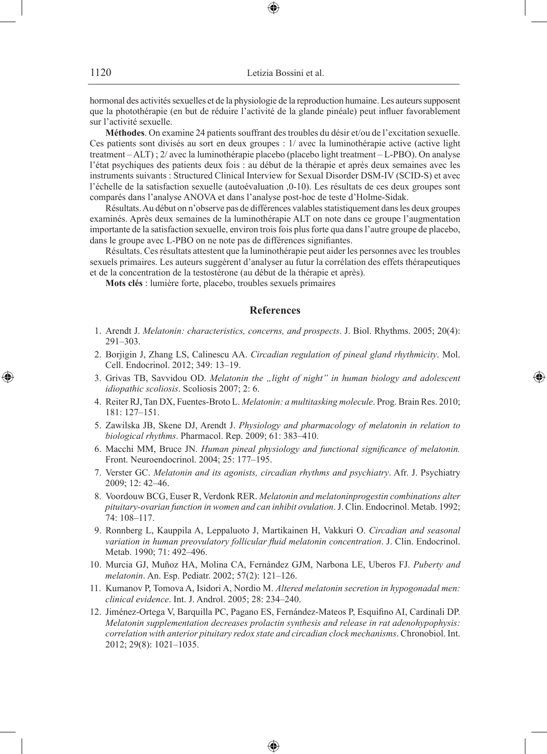hormonal des activités sexuelles et de la physiologie de la reproduction humaine. Les auteurs supposent que la photothérapie (en but de réduire l'activité de la glande pinéale) peut influer favorablement sur l'activité sexuelle.

**Méthodes**. On examine 24 patients souffrant des troubles du désir et/ou de l'excitation sexuelle. Ces patients sont divisés au sort en deux groupes : 1/ avec la luminothérapie active (active light treatment – ALT) ; 2/ avec la luminothérapie placebo (placebo light treatment – L-PBO). On analyse l'état psychiques des patients deux fois : au début de la thérapie et après deux semaines avec les instruments suivants : Structured Clinical Interview for Sexual Disorder DSM-IV (SCID-S) et avec l'échelle de la satisfaction sexuelle (autoévaluation ,0-10). Les résultats de ces deux groupes sont comparés dans l'analyse ANOVA et dans l'analyse post-hoc de teste d'Holme-Sidak.

Résultats. Au début on n'observe pas de différences valables statistiquement dans les deux groupes examinés. Après deux semaines de la luminothérapie ALT on note dans ce groupe l'augmentation importante de la satisfaction sexuelle, environ trois fois plus forte qua dans l'autre groupe de placebo, dans le groupe avec L-PBO on ne note pas de différences signifiantes.

Résultats. Ces résultats attestent que la luminothérapie peut aider les personnes avec les troubles sexuels primaires. Les auteurs suggèrent d'analyser au futur la corrélation des effets thérapeutiques et de la concentration de la testostérone (au début de la thérapie et après).

**Mots clés** : lumière forte, placebo, troubles sexuels primaires

### **References**

- 1. Arendt J. *Melatonin: characteristics, concerns, and prospects*. J. Biol. Rhythms. 2005; 20(4): 291–303.
- 2. Borjigin J, Zhang LS, Calinescu AA. *Circadian regulation of pineal gland rhythmicity*. Mol. Cell. Endocrinol. 2012; 349: 13–19.
- 3. Grivas TB, Savvidou OD. *Melatonin the "light of night" in human biology and adolescent idiopathic scoliosis*. Scoliosis 2007; 2: 6.

◈

- 4. Reiter RJ, Tan DX, Fuentes-Broto L. *Melatonin: a multitasking molecule*. Prog. Brain Res. 2010; 181: 127–151.
- 5. Zawilska JB, Skene DJ, Arendt J. *Physiology and pharmacology of melatonin in relation to biological rhythms*. Pharmacol. Rep. 2009; 61: 383–410.
- 6. Macchi MM, Bruce JN. *Human pineal physiology and functional significance of melatonin.* Front. Neuroendocrinol. 2004; 25: 177–195.
- 7. Verster GC. *Melatonin and its agonists, circadian rhythms and psychiatry*. Afr. J. Psychiatry 2009; 12: 42–46.
- 8. Voordouw BCG, Euser R, Verdonk RER. *Melatonin and melatoninprogestin combinations alter pituitary-ovarian function in women and can inhibit ovulation*. J. Clin. Endocrinol. Metab. 1992; 74: 108–117.
- 9. Ronnberg L, Kauppila A, Leppaluoto J, Martikainen H, Vakkuri O. *Circadian and seasonal variation in human preovulatory follicular fluid melatonin concentration*. J. Clin. Endocrinol. Metab. 1990; 71: 492–496.
- 10. Murcia GJ, Muñoz HA, Molina CA, Fernández GJM, Narbona LE, Uberos FJ. *Puberty and melatonin*. An. Esp. Pediatr. 2002; 57(2): 121–126.
- 11. Kumanov P, Tomova A, Isidori A, Nordio M. *Altered melatonin secretion in hypogonadal men: clinical evidence*. Int. J. Androl. 2005; 28: 234–240.
- 12. Jiménez-Ortega V, Barquilla PC, Pagano ES, Fernández-Mateos P, Esquifino AI, Cardinali DP. *Melatonin supplementation decreases prolactin synthesis and release in rat adenohypophysis: correlation with anterior pituitary redox state and circadian clock mechanisms*. Chronobiol. Int. 2012; 29(8): 1021–1035.

⊕